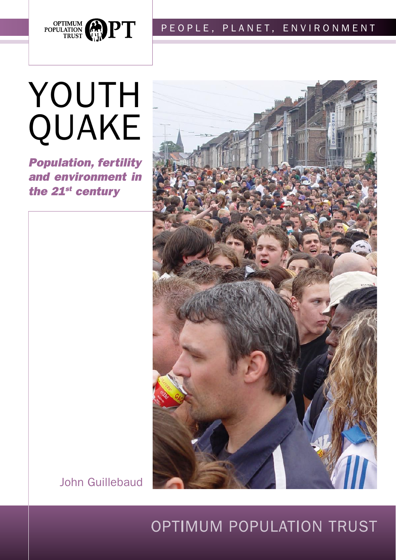

# POPULATION CONTINUM PEOPLE, PLANET, ENVIRONMENT

# YOUTh qUaKe

*Population, fertility and environment in the 21st century*



John Guillebaud

# OPTIMUM POPULaTION TRUST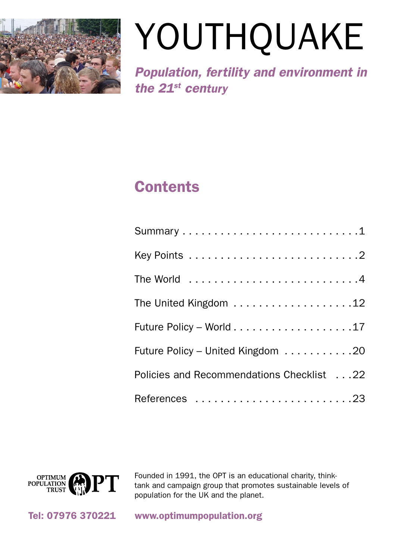

# Youthquake

*Population, fertility and environment in the 21st century*

# **Contents**

| Future Policy - World 17                  |
|-------------------------------------------|
| Future Policy - United Kingdom 20         |
| Policies and Recommendations Checklist 22 |
| References 23                             |



Founded in 1991, the OPT is an educational charity, thinktank and campaign group that promotes sustainable levels of population for the UK and the planet.

Tel: 07976 370221 www.optimumpopulation.org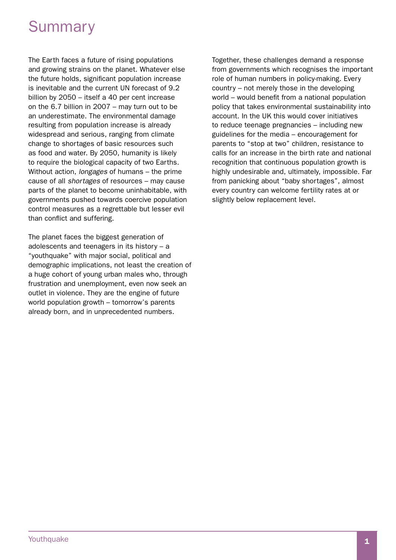# **Summary**

The Earth faces a future of rising populations and growing strains on the planet. Whatever else the future holds, significant population increase is inevitable and the current UN forecast of 9.2 billion by 2050 – itself a 40 per cent increase on the 6.7 billion in 2007 – may turn out to be an underestimate. The environmental damage resulting from population increase is already widespread and serious, ranging from climate change to shortages of basic resources such as food and water. By 2050, humanity is likely to require the biological capacity of two Earths. Without action, *longages* of humans – the prime cause of all *shortages* of resources – may cause parts of the planet to become uninhabitable, with governments pushed towards coercive population control measures as a regrettable but lesser evil than conflict and suffering.

The planet faces the biggest generation of adolescents and teenagers in its history – a "youthquake" with major social, political and demographic implications, not least the creation of a huge cohort of young urban males who, through frustration and unemployment, even now seek an outlet in violence. They are the engine of future world population growth – tomorrow's parents already born, and in unprecedented numbers.

Together, these challenges demand a response from governments which recognises the important role of human numbers in policy-making. Every country – not merely those in the developing world – would benefit from a national population policy that takes environmental sustainability into account. In the UK this would cover initiatives to reduce teenage pregnancies – including new guidelines for the media – encouragement for parents to "stop at two" children, resistance to calls for an increase in the birth rate and national recognition that continuous population growth is highly undesirable and, ultimately, impossible. Far from panicking about "baby shortages", almost every country can welcome fertility rates at or slightly below replacement level.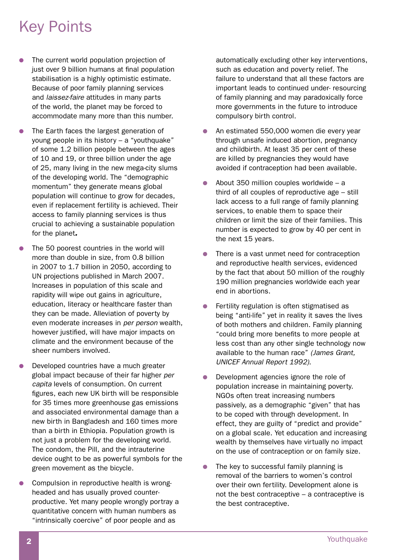# Key Points

- The current world population projection of just over 9 billion humans at final population stabilisation is a highly optimistic estimate. Because of poor family planning services and *laissez-faire* attitudes in many parts of the world, the planet may be forced to accommodate many more than this number.
- The Earth faces the largest generation of young people in its history – a "youthquake" of some 1.2 billion people between the ages of 10 and 19, or three billion under the age of 25, many living in the new mega-city slums of the developing world. The "demographic momentum" they generate means global population will continue to grow for decades, even if replacement fertility is achieved. Their access to family planning services is thus crucial to achieving a sustainable population for the planet*.*
- The 50 poorest countries in the world will more than double in size, from 0.8 billion in 2007 to 1.7 billion in 2050, according to UN projections published in March 2007. Increases in population of this scale and rapidity will wipe out gains in agriculture, education, literacy or healthcare faster than they can be made. Alleviation of poverty by even moderate increases in *per person* wealth, however justified, will have major impacts on climate and the environment because of the sheer numbers involved.
- Developed countries have a much greater global impact because of their far higher *per capita* levels of consumption. On current figures, each new UK birth will be responsible for 35 times more greenhouse gas emissions and associated environmental damage than a new birth in Bangladesh and 160 times more than a birth in Ethiopia. Population growth is not just a problem for the developing world. The condom, the Pill, and the intrauterine device ought to be as powerful symbols for the green movement as the bicycle.
- Compulsion in reproductive health is wrongheaded and has usually proved counterproductive. Yet many people wrongly portray a quantitative concern with human numbers as "intrinsically coercive" of poor people and as

automatically excluding other key interventions, such as education and poverty relief. The failure to understand that all these factors are important leads to continued under- resourcing of family planning and may paradoxically force more governments in the future to introduce compulsory birth control.

- An estimated 550,000 women die every year through unsafe induced abortion, pregnancy and childbirth. At least 35 per cent of these are killed by pregnancies they would have avoided if contraception had been available.
- $\bullet$  About 350 million couples worldwide a third of all couples of reproductive age – still lack access to a full range of family planning services, to enable them to space their children or limit the size of their families. This number is expected to grow by 40 per cent in the next 15 years.
- There is a vast unmet need for contraception and reproductive health services, evidenced by the fact that about 50 million of the roughly 190 million pregnancies worldwide each year end in abortions.
- $\bullet$  Fertility regulation is often stigmatised as being "anti-life" yet in reality it saves the lives of both mothers and children. Family planning "could bring more benefits to more people at less cost than any other single technology now available to the human race" *(James Grant, UNICEF Annual Report 1992)*.
- $\bullet$  Development agencies ignore the role of population increase in maintaining poverty. NGOs often treat increasing numbers passively, as a demographic "given" that has to be coped with through development. In effect, they are guilty of "predict and provide" on a global scale. Yet education and increasing wealth by themselves have virtually no impact on the use of contraception or on family size.
- The key to successful family planning is removal of the barriers to women's control over their own fertility. Development alone is not the best contraceptive – a contraceptive is the best contraceptive.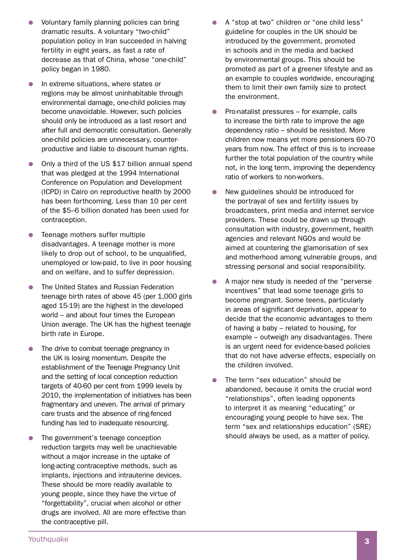- Voluntary family planning policies can bring dramatic results. A voluntary "two-child" population policy in Iran succeeded in halving fertility in eight years, as fast a rate of decrease as that of China, whose "one-child" policy began in 1980.
- **•** In extreme situations, where states or regions may be almost uninhabitable through environmental damage, one-child policies may become unavoidable. However, such policies should only be introduced as a last resort and after full and democratic consultation. Generally one-child policies are unnecessary, counterproductive and liable to discount human rights.
- Only a third of the US \$17 billion annual spend that was pledged at the 1994 International Conference on Population and Development (ICPD) in Cairo on reproductive health by 2000 has been forthcoming. Less than 10 per cent of the \$5–6 billion donated has been used for contraception.
- $\bullet$  Teenage mothers suffer multiple disadvantages. A teenage mother is more likely to drop out of school, to be unqualified, unemployed or low-paid, to live in poor housing and on welfare, and to suffer depression.
- The United States and Russian Federation teenage birth rates of above 45 (per 1,000 girls aged 15-19) are the highest in the developed world – and about four times the European Union average. The UK has the highest teenage birth rate in Europe.
- The drive to combat teenage pregnancy in the UK is losing momentum. Despite the establishment of the Teenage Pregnancy Unit and the setting of local conception reduction targets of 40-60 per cent from 1999 levels by 2010, the implementation of initiatives has been fragmentary and uneven. The arrival of primary care trusts and the absence of ring-fenced funding has led to inadequate resourcing.
- The government's teenage conception reduction targets may well be unachievable without a major increase in the uptake of long-acting contraceptive methods, such as implants, injections and intrauterine devices. These should be more readily available to young people, since they have the virtue of "forgettability", crucial when alcohol or other drugs are involved. All are more effective than the contraceptive pill.
- A "stop at two" children or "one child less" guideline for couples in the UK should be introduced by the government, promoted in schools and in the media and backed by environmental groups. This should be promoted as part of a greener lifestyle and as an example to couples worldwide, encouraging them to limit their own family size to protect the environment.
- Pro-natalist pressures  $-$  for example, calls to increase the birth rate to improve the age dependency ratio – should be resisted. More children now means yet more pensioners 60-70 years from now. The effect of this is to increase further the total population of the country while not, in the long term, improving the dependency ratio of workers to non-workers.
- New guidelines should be introduced for the portrayal of sex and fertility issues by broadcasters, print media and internet service providers. These could be drawn up through consultation with industry, government, health agencies and relevant NGOs and would be aimed at countering the glamorisation of sex and motherhood among vulnerable groups, and stressing personal and social responsibility.
- A major new study is needed of the "perverse" incentives" that lead some teenage girls to become pregnant. Some teens, particularly in areas of significant deprivation, appear to decide that the economic advantages to them of having a baby – related to housing, for example – outweigh any disadvantages. There is an urgent need for evidence-based policies that do not have adverse effects, especially on the children involved.
- The term "sex education" should be abandoned, because it omits the crucial word "relationships", often leading opponents to interpret it as meaning "educating" or encouraging young people to have sex. The term "sex and relationships education" (SRE) should always be used, as a matter of policy.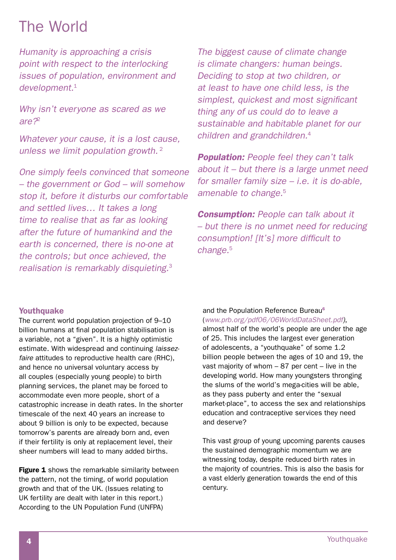# The World

*Humanity is approaching a crisis point with respect to the interlocking issues of population, environment and development.*<sup>1</sup>

*Why isn't everyone as scared as we are?*<sup>2</sup>

*Whatever your cause, it is a lost cause, unless we limit population growth.*<sup>2</sup>

*One simply feels convinced that someone – the government or God – will somehow stop it, before it disturbs our comfortable and settled lives… It takes a long time to realise that as far as looking after the future of humankind and the earth is concerned, there is no-one at the controls; but once achieved, the realisation is remarkably disquieting.*<sup>3</sup>

*The biggest cause of climate change is climate changers: human beings. Deciding to stop at two children, or at least to have one child less, is the simplest, quickest and most significant thing any of us could do to leave a sustainable and habitable planet for our children and grandchildren.*<sup>4</sup>

*Population: People feel they can't talk about it – but there is a large unmet need for smaller family size – i.e. it is do-able, amenable to change.*<sup>5</sup>

*Consumption: People can talk about it – but there is no unmet need for reducing consumption! [It's] more difficult to change.*<sup>5</sup>

## Youthquake

The current world population projection of 9–10 billion humans at final population stabilisation is a variable, not a "given". It is a highly optimistic estimate. With widespread and continuing *laissez*faire attitudes to reproductive health care (RHC), and hence no universal voluntary access by all couples (especially young people) to birth planning services, the planet may be forced to accommodate even more people, short of a catastrophic increase in death rates. In the shorter timescale of the next 40 years an increase to about 9 billion is only to be expected, because tomorrow's parents are already born and, even if their fertility is only at replacement level, their sheer numbers will lead to many added births.

**Figure 1** shows the remarkable similarity between the pattern, not the timing, of world population growth and that of the UK. (Issues relating to UK fertility are dealt with later in this report.) According to the UN Population Fund (UNFPA)

#### and the Population Reference Bureau<sup>6</sup>

(*www.prb.org/pdf06/06WorldDataSheet.pdf)*, almost half of the world's people are under the age

of 25. This includes the largest ever generation of adolescents, a "youthquake" of some 1.2 billion people between the ages of 10 and 19, the vast majority of whom – 87 per cent – live in the developing world. How many youngsters thronging the slums of the world's mega-cities will be able, as they pass puberty and enter the "sexual market-place", to access the sex and relationships education and contraceptive services they need and deserve?

This vast group of young upcoming parents causes the sustained demographic momentum we are witnessing today, despite reduced birth rates in the majority of countries. This is also the basis for a vast elderly generation towards the end of this century.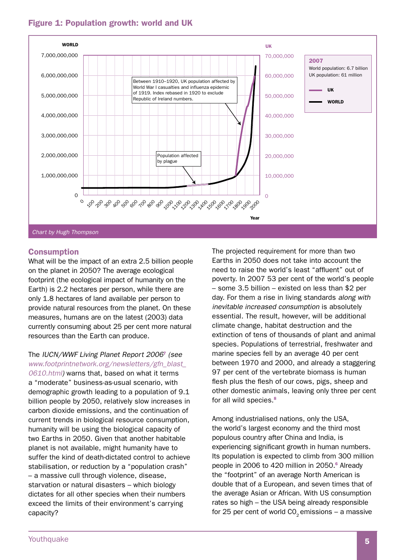## Figure 1: Population growth: world and UK



## Consumption

What will be the impact of an extra 2.5 billion people on the planet in 2050? The average ecological footprint (the ecological impact of humanity on the Earth) is 2.2 hectares per person, while there are only 1.8 hectares of land available per person to provide natural resources from the planet. On these measures, humans are on the latest (2003) data currently consuming about 25 per cent more natural resources than the Earth can produce.

#### The *IUCN/WWF Living Planet Report 2006*7 *(see www.footprintnetwork.org/newsletters/gfn\_blast\_*

*0610.html)* warns that, based on what it terms a "moderate" business-as-usual scenario, with demographic growth leading to a population of 9.1 billion people by 2050, relatively slow increases in carbon dioxide emissions, and the continuation of current trends in biological resource consumption, humanity will be using the biological capacity of two Earths in 2050. Given that another habitable planet is not available, might humanity have to suffer the kind of death-dictated control to achieve stabilisation, or reduction by a "population crash" – a massive cull through violence, disease, starvation or natural disasters – which biology dictates for all other species when their numbers exceed the limits of their environment's carrying capacity?

The projected requirement for more than two Earths in 2050 does not take into account the need to raise the world's least "affluent" out of poverty. In 2007 53 per cent of the world's people – some 3.5 billion – existed on less than \$2 per day. For them a rise in living standards *along with inevitable increased consumption* is absolutely essential. The result, however, will be additional climate change, habitat destruction and the extinction of tens of thousands of plant and animal species. Populations of terrestrial, freshwater and marine species fell by an average 40 per cent between 1970 and 2000, and already a staggering 97 per cent of the vertebrate biomass is human flesh plus the flesh of our cows, pigs, sheep and other domestic animals, leaving only three per cent for all wild species. 8

Among industrialised nations, only the USA, the world's largest economy and the third most populous country after China and India, is experiencing significant growth in human numbers. Its population is expected to climb from 300 million people in 2006 to 420 million in 2050. <sup>6</sup> Already the "footprint" of an average North American is double that of a European, and seven times that of the average Asian or African. With US consumption rates so high – the USA being already responsible for 25 per cent of world  $CO<sub>2</sub>$  emissions – a massive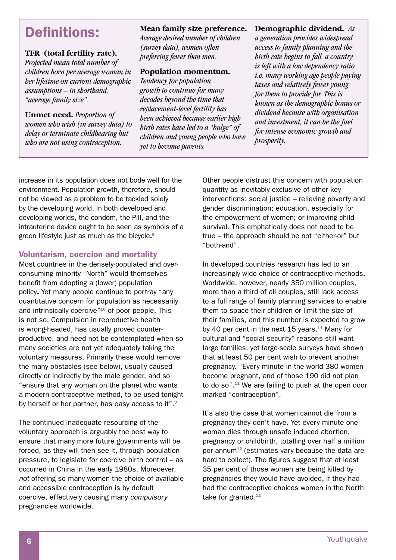## Definitions:

## **TFR (total fertility rate).**

*Projected mean total number of children born per average woman in her lifetime on current demographic assumptions – in shorthand, "average family size".*

**Unmet need.** *Proportion of women who wish (in survey data) to delay or terminate childbearing but who are not using contraception.*

## **Mean family size preference.**

*Average desired number of children (survey data), women often preferring fewer than men.*

## **Population momentum.**

*Tendency for population growth to continue for many decades beyond the time that replacement-level fertility has been achieved because earlier high birth rates have led to a "bulge" of children and young people who have yet to become parents.*

## **Demographic dividend.** *As*

*a generation provides widespread access to family planning and the birth rate begins to fall, a country is left with a low dependency ratio i.e. many working age people paying taxes and relatively fewer young for them to provide for. This is known as the demographic bonus or dividend because with organisation and investment, it can be the fuel for intense economic growth and prosperity.*

increase in its population does not bode well for the environment. Population growth, therefore, should not be viewed as a problem to be tackled solely by the developing world. In both developed and developing worlds, the condom, the Pill, and the intrauterine device ought to be seen as symbols of a green lifestyle just as much as the bicycle.<sup>9</sup>

## Voluntarism, coercion and mortality

Most countries in the densely-populated and overconsuming minority "North" would themselves benefit from adopting a (lower) population policy*.* Yet many people continue to portray "any quantitative concern for population as necessarily and intrinsically coercive<sup>"10</sup> of poor people. This is not so. Compulsion in reproductive health is wrong-headed, has usually proved counterproductive, and need not be contemplated when so many societies are not yet adequately taking the voluntary measures. Primarily these would remove the many obstacles (see below), usually caused directly or indirectly by the male gender, and so "ensure that any woman on the planet who wants a modern contraceptive method, to be used tonight by herself or her partner, has easy access to it".<sup>9</sup>

The continued inadequate resourcing of the voluntary approach is arguably the best way to ensure that many more future governments will be forced, as they will then see it, through population pressure, to legislate for coercive birth control – as occurred in China in the early 1980s. Moreoever, *not* offering so many women the choice of available and accessible contraception is by default coercive, effectively causing many *compulsory* pregnancies worldwide.

Other people distrust this concern with population quantity as inevitably exclusive of other key interventions: social justice – relieving poverty and gender discrimination; education, especially for the empowerment of women; or improving child survival. This emphatically does not need to be true – the approach should be not "either-or" but "both-and".

In developed countries research has led to an increasingly wide choice of contraceptive methods. Worldwide, however, nearly 350 million couples, more than a third of all couples, still lack access to a full range of family planning services to enable them to space their children or limit the size of their families, and this number is expected to grow by 40 per cent in the next 15 years.<sup>11</sup> Many for cultural and "social security" reasons still want large families, yet large-scale surveys have shown that at least 50 per cent wish to prevent another pregnancy. "Every minute in the world 380 women become pregnant, and of those 190 did not plan to do so". <sup>11</sup> We are failing to push at the open door marked "contraception".

It's also the case that women cannot die from a pregnancy they don't have. Yet every minute one woman dies through unsafe induced abortion, pregnancy or childbirth, totalling over half a million per annum $12$  (estimates vary because the data are hard to collect). The figures suggest that at least 35 per cent of those women are being killed by pregnancies they would have avoided, if they had had the contraceptive choices women in the North take for granted.<sup>12</sup>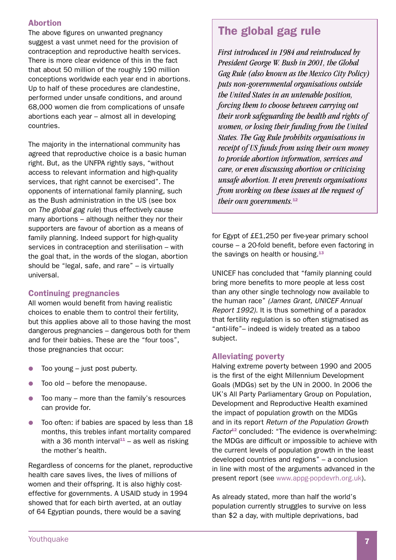## Abortion

The above figures on unwanted pregnancy suggest a vast unmet need for the provision of contraception and reproductive health services. There is more clear evidence of this in the fact that about 50 million of the roughly 190 million conceptions worldwide each year end in abortions. Up to half of these procedures are clandestine, performed under unsafe conditions, and around 68,000 women die from complications of unsafe abortions each year – almost all in developing countries.

The majority in the international community has agreed that reproductive choice is a basic human right. But, as the UNFPA rightly says, "without access to relevant information and high-quality services, that right cannot be exercised". The opponents of international family planning, such as the Bush administration in the US (see box on *The global gag rule*) thus effectively cause many abortions – although neither they nor their supporters are favour of abortion as a means of family planning. Indeed support for high-quality services in contraception and sterilisation – with the goal that, in the words of the slogan, abortion should be "legal, safe, and rare" – is virtually universal.

## Continuing pregnancies

All women would benefit from having realistic choices to enable them to control their fertility, but this applies above all to those having the most dangerous pregnancies – dangerous both for them and for their babies. These are the "four toos", those pregnancies that occur:

- $\bullet$  Too young just post puberty.
- $\bullet$  Too old before the menopause.
- $\bullet$  Too many more than the family's resources can provide for.
- **•** Too often: if babies are spaced by less than 18 months, this trebles infant mortality compared with a 36 month interval<sup>11</sup> – as well as risking the mother's health.

Regardless of concerns for the planet, reproductive health care saves lives, the lives of millions of women and their offspring. It is also highly costeffective for governments. A USAID study in 1994 showed that for each birth averted, at an outlay of 64 Egyptian pounds, there would be a saving

## The global gag rule

*First introduced in 1984 and reintroduced by President George W. Bush in 2001, the Global Gag Rule (also known as the Mexico City Policy) puts non-governmental organisations outside the United States in an untenable position, forcing them to choose between carrying out their work safeguarding the health and rights of women, or losing their funding from the United States. The Gag Rule prohibits organisations in receipt of US funds from using their own money to provide abortion information, services and care, or even discussing abortion or criticising unsafe abortion. It even prevents organisations from working on these issues at the request of their own governments.*12

for Egypt of £E1,250 per five-year primary school course – a 20-fold benefit, before even factoring in the savings on health or housing.<sup>13</sup>

UNICEF has concluded that "family planning could bring more benefits to more people at less cost than any other single technology now available to the human race" *(James Grant, UNICEF Annual Report 1992).* It is thus something of a paradox that fertility regulation is so often stigmatised as "anti-life"– indeed is widely treated as a taboo subject.

## Alleviating poverty

Halving extreme poverty between 1990 and 2005 is the first of the eight Millennium Development Goals (MDGs) set by the UN in 2000. In 2006 the UK's All Party Parliamentary Group on Population, Development and Reproductive Health examined the impact of population growth on the MDGs and in its report *Return of the Population Growth Factor*12 concluded: "The evidence is overwhelming: the MDGs are difficult or impossible to achieve with the current levels of population growth in the least developed countries and regions" – a conclusion in line with most of the arguments advanced in the present report (see www.appg-popdevrh.org.uk).

As already stated, more than half the world's population currently struggles to survive on less than \$2 a day, with multiple deprivations, bad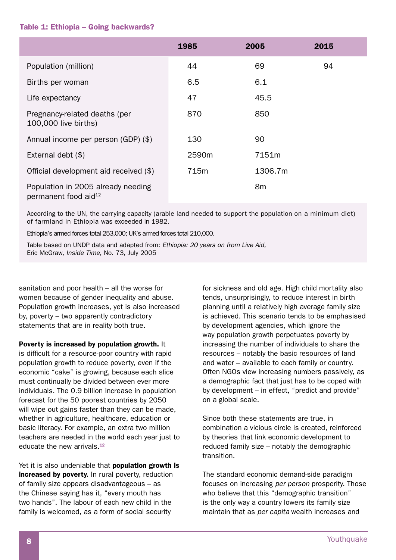#### Table 1: Ethiopia – Going backwards?

|                                                                        | 1985  | 2005           | 2015 |  |
|------------------------------------------------------------------------|-------|----------------|------|--|
| Population (million)                                                   | 44    | 69             | 94   |  |
| Births per woman                                                       | 6.5   | 6.1            |      |  |
| Life expectancy                                                        | 47    | 45.5           |      |  |
| Pregnancy-related deaths (per<br>100,000 live births)                  | 870   | 850            |      |  |
| Annual income per person (GDP) (\$)                                    | 130   | 90             |      |  |
| External debt $(\$)$                                                   | 2590m | 7151m          |      |  |
| Official development aid received (\$)                                 | 715m  | 1306.7m        |      |  |
| Population in 2005 already needing<br>permanent food aid <sup>12</sup> |       | 8 <sub>m</sub> |      |  |

According to the UN, the carrying capacity (arable land needed to support the population on a minimum diet) of farmland in Ethiopia was exceeded in 1982.

Ethiopia's armed forces total 253,000; UK's armed forces total 210,000.

Table based on UNDP data and adapted from: *Ethiopia: 20 years on from Live Aid,*  Eric McGraw, *Inside Time*, No. 73, July 2005

sanitation and poor health – all the worse for women because of gender inequality and abuse. Population growth increases, yet is also increased by, poverty – two apparently contradictory statements that are in reality both true.

Poverty is increased by population growth. It is difficult for a resource-poor country with rapid population growth to reduce poverty, even if the economic "cake" is growing, because each slice must continually be divided between ever more individuals. The 0.9 billion increase in population forecast for the 50 poorest countries by 2050 will wipe out gains faster than they can be made, whether in agriculture, healthcare, education or basic literacy. For example, an extra two million teachers are needed in the world each year just to educate the new arrivals.<sup>12</sup>

Yet it is also undeniable that **population growth is** increased by poverty. In rural poverty, reduction of family size appears disadvantageous – as the Chinese saying has it, "every mouth has two hands". The labour of each new child in the family is welcomed, as a form of social security

for sickness and old age. High child mortality also tends, unsurprisingly, to reduce interest in birth planning until a relatively high average family size is achieved. This scenario tends to be emphasised by development agencies, which ignore the way population growth perpetuates poverty by increasing the number of individuals to share the resources – notably the basic resources of land and water – available to each family or country. Often NGOs view increasing numbers passively, as a demographic fact that just has to be coped with by development – in effect, "predict and provide" on a global scale.

Since both these statements are true, in combination a vicious circle is created, reinforced by theories that link economic development to reduced family size – notably the demographic transition.

The standard economic demand-side paradigm focuses on increasing *per person* prosperity. Those who believe that this "demographic transition" is the only way a country lowers its family size maintain that as *per capita* wealth increases and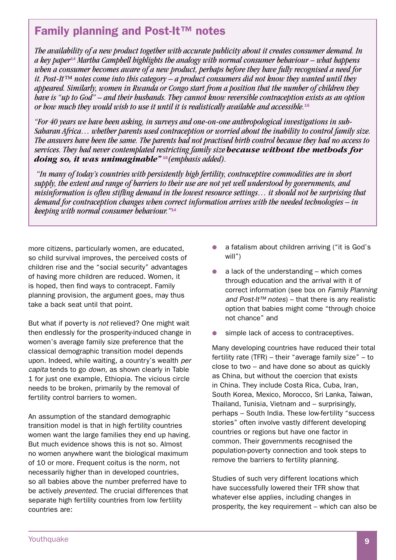## Family planning and Post-It™ notes

*The availability of a new product together with accurate publicity about it creates consumer demand. In a key paper*14 *Martha Campbell highlights the analogy with normal consumer behaviour – what happens when a consumer becomes aware of a new product, perhaps before they have fully recognised a need for it. Post-It™ notes come into this category – a product consumers did not know they wanted until they appeared. Similarly, women in Rwanda or Congo start from a position that the number of children they have is "up to God" – and their husbands. They cannot know reversible contraception exists as an option or how much they would wish to use it until it is realistically available and accessible.*<sup>15</sup>

*"For 40 years we have been asking, in surveys and one-on-one anthropological investigations in sub-Saharan Africa… whether parents used contraception or worried about the inability to control family size. The answers have been the same. The parents had not practised birth control because they had no access to services. They had never contemplated restricting family size because without the methods for doing so, it was unimaginable"* <sup>16</sup>*(emphasis added).*

 *"In many of today's countries with persistently high fertility, contraceptive commodities are in short supply, the extent and range of barriers to their use are not yet well understood by governments, and misinformation is often stifling demand in the lowest resource settings… it should not be surprising that demand for contraception changes when correct information arrives with the needed technologies – in keeping with normal consumer behaviour."*14

more citizens, particularly women, are educated, so child survival improves, the perceived costs of children rise and the "social security" advantages of having more children are reduced. Women, it is hoped, then find ways to contracept. Family planning provision, the argument goes, may thus take a back seat until that point.

But what if poverty is *not* relieved? One might wait then endlessly for the prosperity-induced change in women's average family size preference that the classical demographic transition model depends upon. Indeed, while waiting, a country's wealth *per capita* tends to go *down,* as shown clearly in Table 1 for just one example, Ethiopia. The vicious circle needs to be broken, primarily by the removal of fertility control barriers to women.

An assumption of the standard demographic transition model is that in high fertility countries women want the large families they end up having. But much evidence shows this is not so. Almost no women anywhere want the biological maximum of 10 or more. Frequent coitus is the norm, not necessarily higher than in developed countries, so all babies above the number preferred have to be actively *prevented*. The crucial differences that separate high fertility countries from low fertility countries are:

- a fatalism about children arriving ("it is God's will")
- a lack of the understanding  $-$  which comes through education and the arrival with it of correct information (see box on *Family Planning and Post-It™ notes*) – that there is any realistic option that babies might come "through choice not chance" and
- simple lack of access to contraceptives.

Many developing countries have reduced their total fertility rate (TFR) – their "average family size" – to close to two – and have done so about as quickly as China, but without the coercion that exists in China. They include Costa Rica, Cuba, Iran, South Korea, Mexico, Morocco, Sri Lanka, Taiwan, Thailand, Tunisia, Vietnam and – surprisingly, perhaps – South India. These low-fertility "success stories" often involve vastly different developing countries or regions but have one factor in common. Their governments recognised the population-poverty connection and took steps to remove the barriers to fertility planning.

Studies of such very different locations which have successfully lowered their TFR show that whatever else applies, including changes in prosperity, the key requirement – which can also be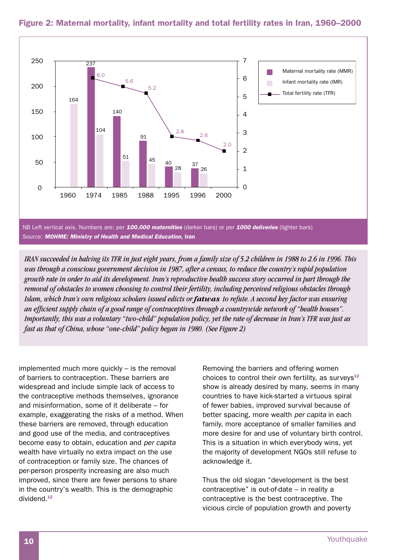

## Figure 2: Maternal mortality, infant mortality and total fertility rates in Iran, 1960–2000

*IRAN succeeded in halving its TFR in just eight years, from a family size of 5.2 children in 1988 to 2.6 in 1996. This was through a conscious government decision in 1987, after a census, to reduce the country's rapid population growth rate in order to aid its development. Iran's reproductive health success story occurred in part through the removal of obstacles to women choosing to control their fertility, including perceived religious obstacles through Islam, which Iran's own religious scholars issued edicts or fatwas to refute. A second key factor was ensuring an efficient supply chain of a good range of contraceptives through a countrywide network of "health houses". Importantly, this was a voluntary "two-child" population policy, yet the rate of decrease in Iran's TFR was just as fast as that of China, whose "one-child" policy began in 1980. (See Figure 2)*

implemented much more quickly – is the removal of barriers to contraception. These barriers are widespread and include simple lack of access to the contraceptive methods themselves, ignorance and misinformation, some of it deliberate – for example, exaggerating the risks of a method. When these barriers are removed, through education and good use of the media, and contraceptives become easy to obtain, education and *per capita* wealth have virtually no extra impact on the use of contraception or family size. The chances of per-person prosperity increasing are also much improved, since there are fewer persons to share in the country's wealth. This is the demographic dividend. 12

Removing the barriers and offering women choices to control their own fertility, as surveys $12$ show is already desired by many, seems in many countries to have kick-started a virtuous spiral of fewer babies, improved survival because of better spacing, more wealth *per capita* in each family, more acceptance of smaller families and more desire for and use of voluntary birth control. This is a situation in which everybody wins, yet the majority of development NGOs still refuse to acknowledge it.

Thus the old slogan "development is the best contraceptive" is out-of-date – in reality a contraceptive is the best contraceptive. The vicious circle of population growth and poverty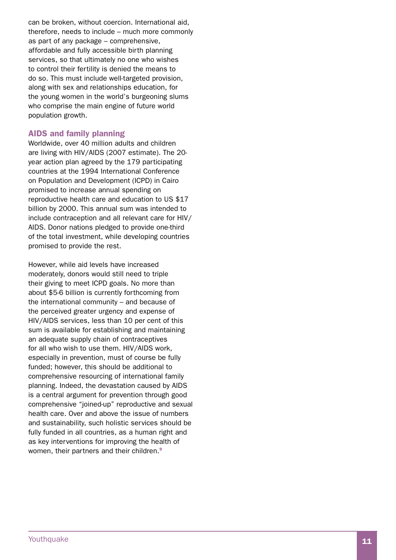can be broken, without coercion . International aid, therefore, needs to include – much more commonly as part of any package – comprehensive, affordable and fully accessible birth planning services, so that ultimately no one who wishes to control their fertility is denied the means to do so . This must include well-targeted provision, along with sex and relationships education, for the young women in the world's burgeoning slums who comprise the main engine of future world population growth .

## AIDS and family planning

Worldwide, over 40 million adults and children are living with HIV/ AIDS (2007 estimate) . The 20 year action plan agreed by the 179 participating countries at the 1994 International Conference on Population and Development (ICPD) in Cairo promised to increase annual spending on reproductive health care and education to US \$17 billion by 2000 . This annual sum was intended to include contraception and all relevant care for HIV/ AIDS . Donor nations pledged to provide one-third of the total investment, while developing countries promised to provide the rest .

However, while aid levels have increased moderately, donors would still need to triple their giving to meet ICPD goals . No more than about \$5-6 billion is currently forthcoming from the international community – and because of the perceived greater urgency and expense of HIV/AIDS services, less than 10 per cent of this sum is available for establishing and maintaining an adequate supply chain of contraceptives for all who wish to use them . HIV/ AIDS work, especially in prevention, must of course be fully funded; however, this should be additional to comprehensive resourcing of international family planning . Indeed, the devastation caused by AIDS is a central argument for prevention through good comprehensive "joined-up" reproductive and sexual health care . Over and above the issue of numbers and sustainability, such holistic services should be fully funded in all countries, as a human right and as key interventions for improving the health of women, their partners and their children.<sup>9</sup>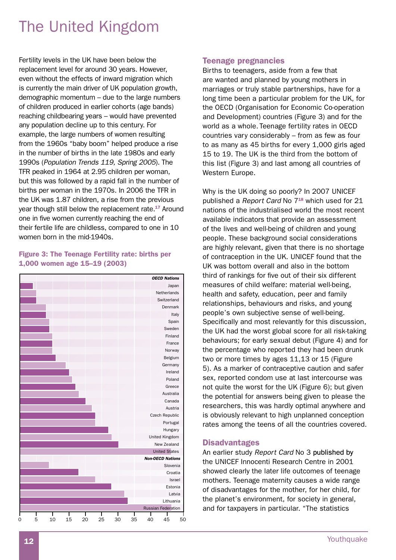# The United Kingdom

Fertility levels in the UK have been below the replacement level for around 30 years. However, even without the effects of inward migration which is currently the main driver of UK population growth, demographic momentum – due to the large numbers of children produced in earlier cohorts (age bands) reaching childbearing years – would have prevented any population decline up to this century. For example, the large numbers of women resulting from the 1960s "baby boom" helped produce a rise in the number of births in the late 1980s and early 1990s (*Population Trends 119, Spring 2005*). The TFR peaked in 1964 at 2.95 children per woman, but this was followed by a rapid fall in the number of births per woman in the 1970s. In 2006 the TFR in the UK was 1.87 children, a rise from the previous year though still below the replacement rate.<sup>17</sup> Around one in five women currently reaching the end of their fertile life are childless, compared to one in 10 women born in the mid-1940s.

### Figure 3: The Teenage Fertility rate: births per 1,000 women age 15–19 (2003)



## Teenage pregnancies

Births to teenagers, aside from a few that are wanted and planned by young mothers in marriages or truly stable partnerships, have for a long time been a particular problem for the UK, for the OECD (Organisation for Economic Co-operation and Development) countries (Figure 3) and for the world as a whole. Teenage fertility rates in OECD countries vary considerably – from as few as four to as many as 45 births for every 1,000 girls aged 15 to 19. The UK is the third from the bottom of this list (Figure 3) and last among all countries of Western Europe.

Why is the UK doing so poorly? In 2007 UNICEF published a *Report Card* No 718 which used for 21 nations of the industrialised world the most recent available indicators that provide an assessment of the lives and well-being of children and young people. These background social considerations are highly relevant, given that there is no shortage of contraception in the UK. UNICEF found that the UK was bottom overall and also in the bottom third of rankings for five out of their six different measures of child welfare: material well-being, health and safety, education, peer and family relationships, behaviours and risks, and young people's own subjective sense of well-being. Specifically and most relevantly for this discussion, the UK had the worst global score for all risk-taking behaviours; for early sexual debut (Figure 4) and for the percentage who reported they had been drunk two or more times by ages 11,13 or 15 (Figure 5). As a marker of contraceptive caution and safer sex, reported condom use at last intercourse was not quite the worst for the UK (Figure 6); but given the potential for answers being given to please the researchers, this was hardly optimal anywhere and is obviously relevant to high unplanned conception rates among the teens of all the countries covered.

#### **Disadvantages**

An earlier study *Report Card* No 3 published by the UNICEF Innocenti Research Centre in 2001 showed clearly the later life outcomes of teenage mothers. Teenage maternity causes a wide range of disadvantages for the mother, for her child, for the planet's environment, for society in general, and for taxpayers in particular. "The statistics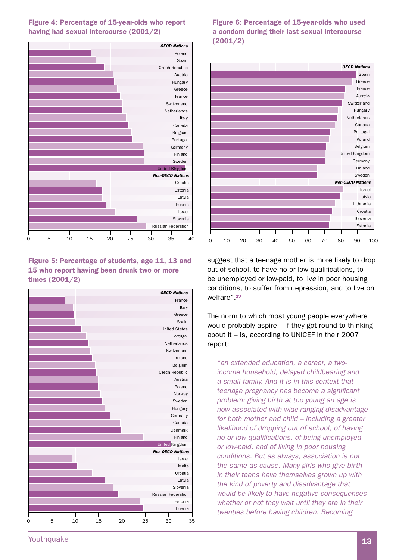

## Figure 4: Percentage of 15-year-olds who report having had sexual intercourse (2001/2)

Figure 5: Percentage of students, age 11, 13 and 15 who report having been drunk two or more times (2001/2)



Figure 6: Percentage of 15-year-olds who used a condom during their last sexual intercourse (2001/2)



suggest that a teenage mother is more likely to drop out of school, to have no or low qualifications, to be unemployed or low-paid, to liv*e* in poor housing conditions, to suffer from depression, and to live on welfare".<sup>19</sup>

The norm to which most young people everywhere would probably aspire – if they got round to thinking about it – is, according to UNICEF in their 2007 report:

*"an extended education, a career, a twoincome household, delayed childbearing and a small family. And it is in this context that teenage pregnancy has become a significant problem: giving birth at too young an age is now associated with wide-ranging disadvantage for both mother and child – including a greater likelihood of dropping out of school, of having no or low qualifications, of being unemployed or low-paid, and of living in poor housing conditions. But as always, association is not the same as cause. Many girls who give birth in their teens have themselves grown up with the kind of poverty and disadvantage that would be likely to have negative consequences whether or not they wait until they are in their twenties before having children. Becoming*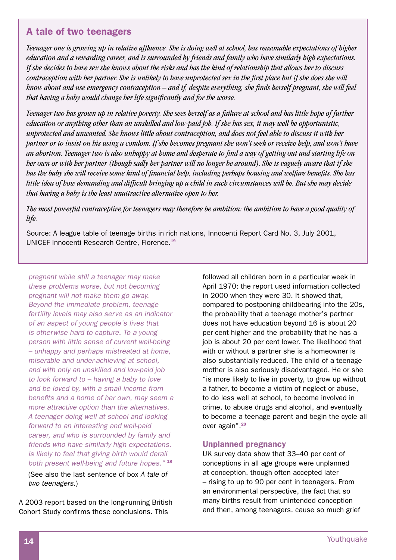## A tale of two teenagers

*Teenager one is growing up in relative affluence. She is doing well at school, has reasonable expectations of higher education and a rewarding career, and is surrounded by friends and family who have similarly high expectations. If she decides to have sex she knows about the risks and has the kind of relationship that allows her to discuss contraception with her partner. She is unlikely to have unprotected sex in the first place but if she does she will know about and use emergency contraception – and if, despite everything, she finds herself pregnant, she will feel that having a baby would change her life significantly and for the worse.*

*Teenager two has grown up in relative poverty. She sees herself as a failure at school and has little hope of further education or anything other than an unskilled and low-paid job. If she has sex, it may well be opportunistic, unprotected and unwanted. She knows little about contraception, and does not feel able to discuss it with her partner or to insist on his using a condom. If she becomes pregnant she won't seek or receive help, and won't have an abortion. Teenager two is also unhappy at home and desperate to find a way of getting out and starting life on her own or with her partner (though sadly her partner will no longer be around). She is vaguely aware that if she has the baby she will receive some kind of financial help, including perhaps housing and welfare benefits. She has little idea of how demanding and difficult bringing up a child in such circumstances will be. But she may decide that having a baby is the least unattractive alternative open to her.* 

*The most powerful contraceptive for teenagers may therefore be ambition: the ambition to have a good quality of life.*

Source: A league table of teenage births in rich nations, Innocenti Report Card No. 3, July 2001, UNICEF Innocenti Research Centre, Florence. 19

*pregnant while still a teenager may make these problems worse, but not becoming pregnant will not make them go away. Beyond the immediate problem, teenage fertility levels may also serve as an indicator of an aspect of young people's lives that is otherwise hard to capture. To a young person with little sense of current well-being – unhappy and perhaps mistreated at home, miserable and under-achieving at school, and with only an unskilled and low-paid job to look forward to – having a baby to love and be loved by, with a small income from benefits and a home of her own, may seem a more attractive option than the alternatives. A teenager doing well at school and looking forward to an interesting and well-paid career, and who is surrounded by family and friends who have similarly high expectations, is likely to feel that giving birth would derail both present well-being and future hopes."* <sup>18</sup>

(See also the last sentence of box *A tale of two teenagers*.)

A 2003 report based on the long-running British Cohort Study confirms these conclusions. This

followed all children born in a particular week in April 1970: the report used information collected in 2000 when they were 30. It showed that, compared to postponing childbearing into the 20s, the probability that a teenage mother's partner does not have education beyond 16 is about 20 per cent higher and the probability that he has a job is about 20 per cent lower. The likelihood that with or without a partner she is a homeowner is also substantially reduced. The child of a teenage mother is also seriously disadvantaged. He or she "is more likely to live in poverty, to grow up without a father, to become a victim of neglect or abuse, to do less well at school, to become involved in crime, to abuse drugs and alcohol, and eventually to become a teenage parent and begin the cycle all over again". 20

## Unplanned pregnancy

UK survey data show that 33–40 per cent of conceptions in all age groups were unplanned at conception, though often accepted later – rising to up to 90 per cent in teenagers. From an environmental perspective, the fact that so many births result from unintended conception and then, among teenagers, cause so much grief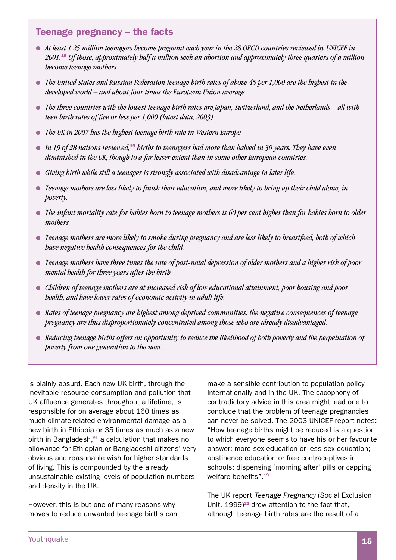## Teenage pregnancy – the facts

- At least 1.25 million teenagers become pregnant each year in the 28 OECD countries reviewed by UNICEF in *2001.*<sup>19</sup> *Of those, approximately half a million seek an abortion and approximately three quarters of a million become teenage mothers.*
- **•** The United States and Russian Federation teenage birth rates of above 45 per 1,000 are the highest in the *developed world – and about four times the European Union average.*
- **•** *The three countries with the lowest teenage birth rates are Japan, Switzerland, and the Netherlands all with teen birth rates of five or less per 1,000 (latest data, 2003).*
- **•** *The UK in 2007 has the highest teenage birth rate in Western Europe.*
- *In 19 of 28 nations reviewed*,<sup>19</sup> births to teenagers had more than halved in 30 years. They have even *diminished in the UK, though to a far lesser extent than in some other European countries.*
- **•** Giving birth while still a teenager is strongly associated with disadvantage in later life.
- *Teenage mothers are less likely to finish their education, and more likely to bring up their child alone, in poverty.*
- The infant mortality rate for babies born to teenage mothers is 60 per cent higher than for babies born to older *mothers.*
- **•** Teenage mothers are more likely to smoke during pregnancy and are less likely to breastfeed, both of which *have negative health consequences for the child.*
- **•** Teenage mothers have three times the rate of post-natal depression of older mothers and a higher risk of poor *mental health for three years after the birth.*
- *Children of teenage mothers are at increased risk of low educational attainment, poor housing and poor health, and have lower rates of economic activity in adult life.*
- **•** Rates of teenage pregnancy are highest among deprived communities: the negative consequences of teenage *pregnancy are thus disproportionately concentrated among those who are already disadvantaged.*
- **•** Reducing teenage births offers an opportunity to reduce the likelihood of both poverty and the perpetuation of *poverty from one generation to the next.*

is plainly absurd. Each new UK birth, through the inevitable resource consumption and pollution that UK affluence generates throughout a lifetime, is responsible for on average about 160 times as much climate-related environmental damage as a new birth in Ethiopia or 35 times as much as a new birth in Bangladesh, $21$  a calculation that makes no allowance for Ethiopian or Bangladeshi citizens' very obvious and reasonable wish for higher standards of living. This is compounded by the already unsustainable existing levels of population numbers and density in the UK.

However, this is but one of many reasons why moves to reduce unwanted teenage births can make a sensible contribution to population policy internationally and in the UK. The cacophony of contradictory advice in this area might lead one to conclude that the problem of teenage pregnancies can never be solved. The 2003 UNICEF report notes: "How teenage births might be reduced is a question to which everyone seems to have his or her favourite answer: more sex education or less sex education; abstinence education or free contraceptives in schools; dispensing 'morning after' pills or capping welfare benefits". 19

The UK report *Teenage Pregnancy* (Social Exclusion Unit,  $1999)^{22}$  drew attention to the fact that, although teenage birth rates are the result of a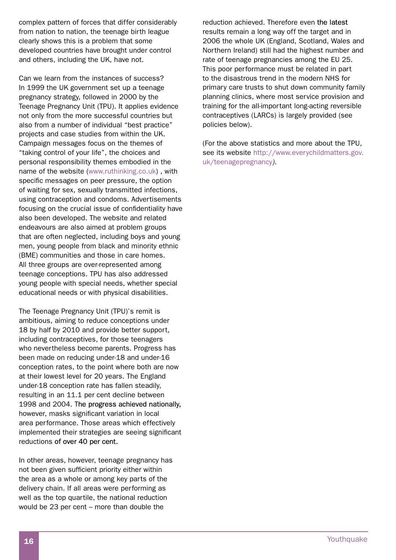complex pattern of forces that differ considerably from nation to nation, the teenage birth league clearly shows this is a problem that some developed countries have brought under control and others, including the UK, have not.

Can we learn from the instances of success? In 1999 the UK government set up a teenage pregnancy strategy, followed in 2000 by the Teenage Pregnancy Unit (TPU). It applies evidence not only from the more successful countries but also from a number of individual "best practice" projects and case studies from within the UK. Campaign messages focus on the themes of "taking control of your life", the choices and personal responsibility themes embodied in the name of the website (www.ruthinking.co.uk) , with specific messages on peer pressure, the option of waiting for sex, sexually transmitted infections, using contraception and condoms. Advertisements focusing on the crucial issue of confidentiality have also been developed. The website and related endeavours are also aimed at problem groups that are often neglected, including boys and young men, young people from black and minority ethnic (BME) communities and those in care homes. All three groups are over-represented among teenage conceptions. TPU has also addressed young people with special needs, whether special educational needs or with physical disabilities.

The Teenage Pregnancy Unit (TPU)'s remit is ambitious, aiming to reduce conceptions under 18 by half by 2010 and provide better support, including contraceptives, for those teenagers who nevertheless become parents. Progress has been made on reducing under-18 and under-16 conception rates, to the point where both are now at their lowest level for 20 years. The England under-18 conception rate has fallen steadily, resulting in an 11.1 per cent decline between 1998 and 2004. The progress achieved nationally, however, masks significant variation in local area performance. Those areas which effectively implemented their strategies are seeing significant reductions of over 40 per cent.

In other areas, however, teenage pregnancy has not been given sufficient priority either within the area as a whole or among key parts of the delivery chain. If all areas were performing as well as the top quartile, the national reduction would be 23 per cent – more than double the

reduction achieved. Therefore even the latest results remain a long way off the target and in 2006 the whole UK (England, Scotland, Wales and Northern Ireland) still had the highest number and rate of teenage pregnancies among the EU 25. This poor performance must be related in part to the disastrous trend in the modern NHS for primary care trusts to shut down community family planning clinics, where most service provision and training for the all-important long-acting reversible contraceptives (LARCs) is largely provided (see policies below).

(For the above statistics and more about the TPU, see its website http://www.everychildmatters.gov. uk/teenagepregnancy*).*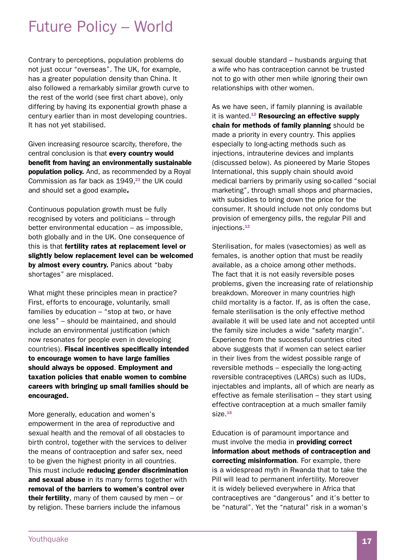## Future Policy – World

Contrary to perceptions, population problems do not just occur "overseas". The UK, for example, has a greater population density than China. It also followed a remarkably similar growth curve to the rest of the world (see first chart above), only differing by having its exponential growth phase a century earlier than in most developing countries. It has not yet stabilised.

Given increasing resource scarcity, therefore, the central conclusion is that every country would benefit from having an environmentally sustainable population policy. And, as recommended by a Royal Commission as far back as  $1949$ , $^{23}$  the UK could and should set a good example*.*

Continuous population growth must be fully recognised by voters and politicians – through better environmental education – as impossible, both globally and in the UK. One consequence of this is that fertility rates at replacement level or slightly below replacement level can be welcomed by almost every country. Panics about "baby shortages" are misplaced.

What might these principles mean in practice? First, efforts to encourage, voluntarily, small families by education – "stop at two, or have one less" – should be maintained, and should include an environmental justification (which now resonates for people even in developing countries). Fiscal incentives specifically intended to encourage women to have large families should always be opposed. Employment and taxation policies that enable women to combine careers with bringing up small families should be encouraged.

More generally, education and women's empowerment in the area of reproductive and sexual health and the removal of all obstacles to birth control, together with the services to deliver the means of contraception and safer sex, need to be given the highest priority in all countries. This must include reducing gender discrimination and sexual abuse in its many forms together with removal of the barriers to women's control over **their fertility**, many of them caused by men  $-$  or by religion. These barriers include the infamous

sexual double standard – husbands arguing that a wife who has contraception cannot be trusted not to go with other men while ignoring their own relationships with other women.

As we have seen, if family planning is available it is wanted.<sup>12</sup> Resourcing an effective supply chain for methods of family planning should be made a priority in every country. This applies especially to long-acting methods such as injections, intrauterine devices and implants (discussed below). As pioneered by Marie Stopes International, this supply chain should avoid medical barriers by primarily using so-called "social marketing", through small shops and pharmacies, with subsidies to bring down the price for the consumer. It should include not only condoms but provision of emergency pills, the regular Pill and injections. 12

Sterilisation, for males (vasectomies) as well as females, is another option that must be readily available, as a choice among other methods. The fact that it is not easily reversible poses problems, given the increasing rate of relationship breakdown. Moreover in many countries high child mortality is a factor. If, as is often the case, female sterilisation is the only effective method available it will be used late and not accepted until the family size includes a wide "safety margin". Experience from the successful countries cited above suggests that if women can select earlier in their lives from the widest possible range of reversible methods – especially the long-acting reversible contraceptives (LARCs) such as IUDs, injectables and implants, all of which are nearly as effective as female sterilisation – they start using effective contraception at a much smaller family size.<sup>15</sup>

Education is of paramount importance and must involve the media in **providing correct** information about methods of contraception and correcting misinformation. For example, there is a widespread myth in Rwanda that to take the Pill will lead to permanent infertility. Moreover it is widely believed everywhere in Africa that contraceptives are "dangerous" and it's better to be "natural". Yet the "natural" risk in a woman's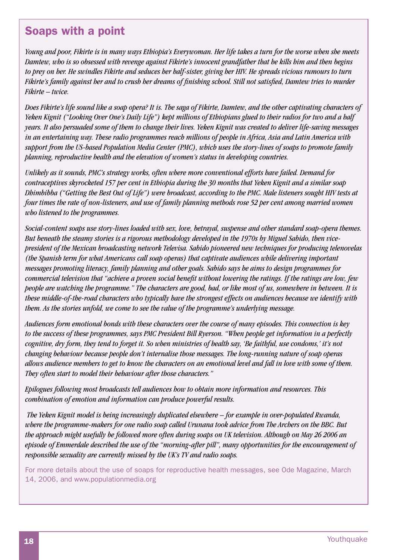## Soaps with a point

*Young and poor, Fikirte is in many ways Ethiopia's Everywoman. Her life takes a turn for the worse when she meets Damtew, who is so obsessed with revenge against Fikirte's innocent grandfather that he kills him and then begins to prey on her. He swindles Fikirte and seduces her half-sister, giving her HIV. He spreads vicious rumours to turn Fikirte's family against her and to crush her dreams of finishing school. Still not satisfied, Damtew tries to murder Fikirte – twice.*

*Does Fikirte's life sound like a soap opera? It is. The saga of Fikirte, Damtew, and the other captivating characters of Yeken Kignit ("Looking Over One's Daily Life") kept millions of Ethiopians glued to their radios for two and a half years. It also persuaded some of them to change their lives. Yeken Kignit was created to deliver life-saving messages in an entertaining way. These radio programmes reach millions of people in Africa, Asia and Latin America with support from the US-based Population Media Center (PMC), which uses the story-lines of soaps to promote family planning, reproductive health and the elevation of women's status in developing countries.* 

*Unlikely as it sounds, PMC's strategy works, often where more conventional efforts have failed. Demand for contraceptives skyrocketed 157 per cent in Ethiopia during the 30 months that Yeken Kignit and a similar soap Dhimbibba ("Getting the Best Out of Life") were broadcast, according to the PMC. Male listeners sought HIV tests at four times the rate of non-listeners, and use of family planning methods rose 52 per cent among married women who listened to the programmes.*

*Social-content soaps use story-lines loaded with sex, love, betrayal, suspense and other standard soap-opera themes. But beneath the steamy stories is a rigorous methodology developed in the 1970s by Miguel Sabido, then vicepresident of the Mexican broadcasting network Televisa. Sabido pioneered new techniques for producing telenovelas (the Spanish term for what Americans call soap operas) that captivate audiences while delivering important messages promoting literacy, family planning and other goals. Sabido says he aims to design programmes for commercial television that "achieve a proven social benefit without lowering the ratings. If the ratings are low, few people are watching the programme." The characters are good, bad, or like most of us, somewhere in between. It is these middle-of-the-road characters who typically have the strongest effects on audiences because we identify with them. As the stories unfold, we come to see the value of the programme's underlying message.* 

*Audiences form emotional bonds with these characters over the course of many episodes. This connection is key to the success of these programmes, says PMC President Bill Ryerson. "When people get information in a perfectly cognitive, dry form, they tend to forget it. So when ministries of health say, 'Be faithful, use condoms,' it's not changing behaviour because people don't internalise those messages. The long-running nature of soap operas allows audience members to get to know the characters on an emotional level and fall in love with some of them. They often start to model their behaviour after those characters."*

*Epilogues following most broadcasts tell audiences how to obtain more information and resources. This combination of emotion and information can produce powerful results.* 

 *The Yeken Kignit model is being increasingly duplicated elsewhere – for example in over-populated Rwanda, where the programme-makers for one radio soap called Urunana took advice from The Archers on the BBC. But the approach might usefully be followed more often during soaps on UK television. Although on May 26 2006 an episode of Emmerdale described the use of the "morning-after pill", many opportunities for the encouragement of responsible sexuality are currently missed by the UK's TV and radio soaps.* 

For more details about the use of soaps for reproductive health messages, see Ode Magazine, March 14, 2006, and www.populationmedia.org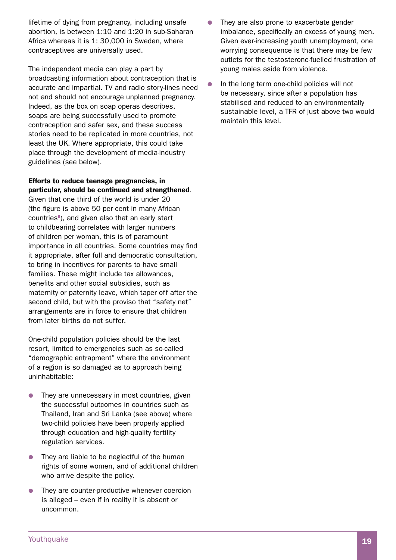lifetime of dying from pregnancy, including unsafe abortion, is between 1:10 and 1:20 in sub-Saharan Africa whereas it is 1: 30,000 in Sweden, where contraceptives are universally used.

The independent media can play a part by broadcasting information about contraception that is accurate and impartial. TV and radio story-lines need not and should not encourage unplanned pregnancy. Indeed, as the box on soap operas describes, soaps are being successfully used to promote contraception and safer sex, and these success stories need to be replicated in more countries, not least the UK. Where appropriate, this could take place through the development of media-industry guidelines (see below).

## Efforts to reduce teenage pregnancies, in particular, should be continued and strengthened.

Given that one third of the world is under 20 (the figure is above 50 per cent in many African countries<sup>6</sup>), and given also that an early start to childbearing correlates with larger numbers of children per woman, this is of paramount importance in all countries. Some countries may find it appropriate, after full and democratic consultation, to bring in incentives for parents to have small families. These might include tax allowances, benefits and other social subsidies, such as maternity or paternity leave, which taper off after the second child, but with the proviso that "safety net" arrangements are in force to ensure that children from later births do not suffer.

One-child population policies should be the last resort, limited to emergencies such as so-called "demographic entrapment" where the environment of a region is so damaged as to approach being uninhabitable:

- $\bullet$  They are unnecessary in most countries, given the successful outcomes in countries such as Thailand, Iran and Sri Lanka (see above) where two-child policies have been properly applied through education and high-quality fertility regulation services.
- $\bullet$  They are liable to be neglectful of the human rights of some women, and of additional children who arrive despite the policy.
- $\bullet$  They are counter-productive whenever coercion is alleged – even if in reality it is absent or uncommon.
- They are also prone to exacerbate gender imbalance, specifically an excess of young men. Given ever-increasing youth unemployment, one worrying consequence is that there may be few outlets for the testosterone-fuelled frustration of young males aside from violence.
- In the long term one-child policies will not be necessary, since after a population has stabilised and reduced to an environmentally sustainable level, a TFR of just above two would maintain this level.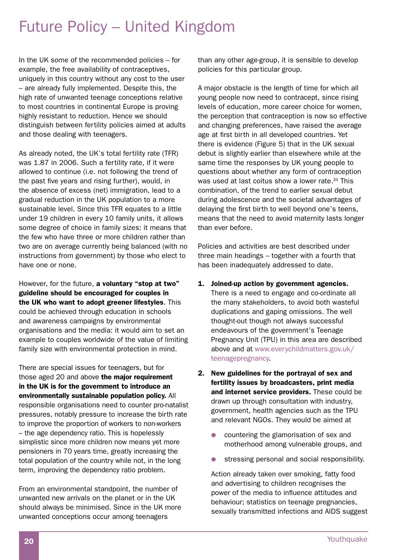# Future Policy – United Kingdom

In the UK some of the recommended policies – for example, the free availability of contraceptives, uniquely in this country without any cost to the user – are already fully implemented. Despite this, the high rate of unwanted teenage conceptions relative to most countries in continental Europe is proving highly resistant to reduction. Hence we should distinguish between fertility policies aimed at adults and those dealing with teenagers.

As already noted, the UK's total fertility rate (TFR) was 1.87 in 2006. Such a fertility rate, if it were allowed to continue (i.e. not following the trend of the past five years and rising further), would, in the absence of excess (net) immigration, lead to a gradual reduction in the UK population to a more sustainable level. Since this TFR equates to a little under 19 children in every 10 family units, it allows some degree of choice in family sizes: it means that the few who have three or more children rather than two are on average currently being balanced (with no instructions from government) by those who elect to have one or none.

However, for the future, a voluntary "stop at two" guideline should be encouraged for couples in the UK who want to adopt greener lifestyles. This could be achieved through education in schools and awareness campaigns by environmental organisations and the media: it would aim to set an example to couples worldwide of the value of limiting family size with environmental protection in mind.

There are special issues for teenagers, but for those aged 20 and above the major requirement in the UK is for the government to introduce an environmentally sustainable population policy. All responsible organisations need to counter pro-natalist pressures, notably pressure to increase the birth rate to improve the proportion of workers to non-workers – the age dependency ratio. This is hopelessly simplistic since more children now means yet more pensioners in 70 years time, greatly increasing the total population of the country while not, in the long term, improving the dependency ratio problem.

From an environmental standpoint, the number of unwanted new arrivals on the planet or in the UK should always be minimised. Since in the UK more unwanted conceptions occur among teenagers

than any other age-group, it is sensible to develop policies for this particular group.

A major obstacle is the length of time for which all young people now need to contracept, since rising levels of education, more career choice for women, the perception that contraception is now so effective and changing preferences, have raised the average age at first birth in all developed countries. Yet there is evidence (Figure 5) that in the UK sexual debut is slightly earlier than elsewhere while at the same time the responses by UK young people to questions about whether any form of contraception was used at last coitus show a lower rate.<sup>24</sup> This combination, of the trend to earlier sexual debut during adolescence and the societal advantages of delaying the first birth to well beyond one's teens, means that the need to avoid maternity lasts longer than ever before.

Policies and activities are best described under three main headings – together with a fourth that has been inadequately addressed to date.

- 1. Joined-up action by government agencies. There is a need to engage and co-ordinate all the many stakeholders, to avoid both wasteful duplications and gaping omissions. The well thought-out though not always successful endeavours of the government's Teenage Pregnancy Unit (TPU) in this area are described above and at www.everychildmatters.gov.uk/ teenagepregnancy.
- 2. New guidelines for the portrayal of sex and fertility issues by broadcasters, print media and internet service providers. These could be drawn up through consultation with industry, government, health agencies such as the TPU and relevant NGOs. They would be aimed at
	- countering the glamorisation of sex and motherhood among vulnerable groups, and
	- **•** stressing personal and social responsibility.

 Action already taken over smoking, fatty food and advertising to children recognises the power of the media to influence attitudes and behaviour; statistics on teenage pregnancies, sexually transmitted infections and AIDS suggest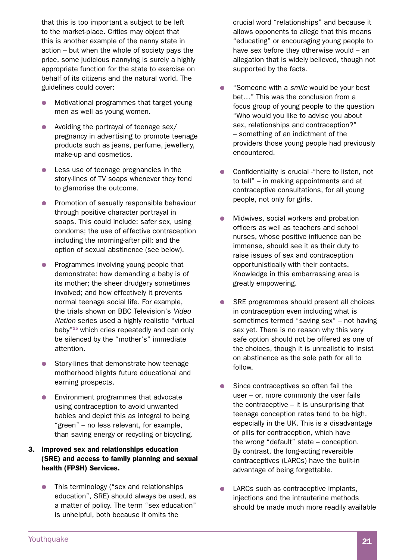that this is too important a subject to be left to the market-place. Critics may object that this is another example of the nanny state in action – but when the whole of society pays the price, some judicious nannying is surely a highly appropriate function for the state to exercise on behalf of its citizens and the natural world. The guidelines could cover:

- Motivational programmes that target young men as well as young women.
- $\bullet$  Avoiding the portrayal of teenage sex/ pregnancy in advertising to promote teenage products such as jeans, perfume, jewellery, make-up and cosmetics.
- Less use of teenage pregnancies in the story-lines of TV soaps whenever they tend to glamorise the outcome.
- Promotion of sexually responsible behaviour through positive character portrayal in soaps. This could include: safer sex, using condoms; the use of effective contraception including the morning-after pill; and the option of sexual abstinence (see below).
- Programmes involving young people that demonstrate: how demanding a baby is of its mother; the sheer drudgery sometimes involved; and how effectively it prevents normal teenage social life. For example, the trials shown on BBC Television's *Video Nation* series used a highly realistic "virtual baby"25 which cries repeatedly and can only be silenced by the "mother's" immediate attention.
- Story-lines that demonstrate how teenage motherhood blights future educational and earning prospects.
- Environment programmes that advocate using contraception to avoid unwanted babies and depict this as integral to being "green" – no less relevant, for example, than saving energy or recycling or bicycling.

## 3. Improved sex and relationships education (SRE) and access to family planning and sexual health (FPSH) Services.

This terminology ("sex and relationships education", SRE) should always be used, as a matter of policy. The term "sex education" is unhelpful, both because it omits the

crucial word "relationships" and because it allows opponents to allege that this means "educating" or encouraging young people to have sex before they otherwise would – an allegation that is widely believed, though not supported by the facts.

- "Someone with a *smile* would be your best bet…" This was the conclusion from a focus group of young people to the question "Who would you like to advise you about sex, relationships and contraception?" – something of an indictment of the providers those young people had previously encountered.
- Confidentiality is crucial "here to listen, not to tell" – in making appointments and at contraceptive consultations, for all young people, not only for girls.
- Midwives, social workers and probation officers as well as teachers and school nurses, whose positive influence can be immense, should see it as their duty to raise issues of sex and contraception opportunistically with their contacts. Knowledge in this embarrassing area is greatly empowering.
- SRE programmes should present all choices in contraception even including what is sometimes termed "saving sex" – not having sex yet. There is no reason why this very safe option should not be offered as one of the choices, though it is unrealistic to insist on abstinence as the sole path for all to follow.
- Since contraceptives so often fail the user – or, more commonly the user fails the contraceptive – it is unsurprising that teenage conception rates tend to be high, especially in the UK. This is a disadvantage of pills for contraception, which have the wrong "default" state – conception. By contrast, the long-acting reversible contraceptives (LARCs) have the built-in advantage of being forgettable.
- LARCs such as contraceptive implants, injections and the intrauterine methods should be made much more readily available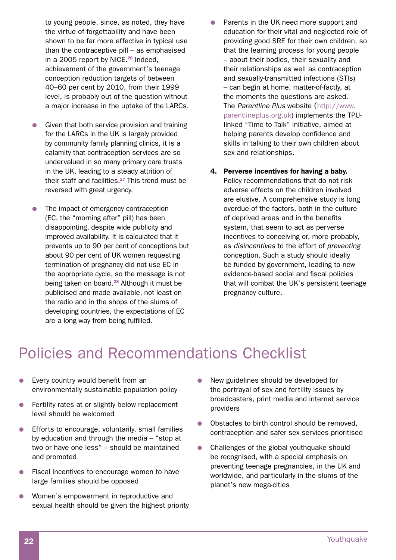to young people, since, as noted, they have the virtue of forgettability and have been shown to be far more effective in typical use than the contraceptive pill – as emphasised in a 2005 report by NICE. $26$  Indeed, achievement of the government's teenage conception reduction targets of between 40–60 per cent by 2010, from their 1999 level, is probably out of the question without a major increase in the uptake of the LARCs.

- Given that both service provision and training for the LARCs in the UK is largely provided by community family planning clinics, it is a calamity that contraception services are so undervalued in so many primary care trusts in the UK, leading to a steady attrition of their staff and facilities. <sup>27</sup> This trend must be reversed with great urgency.
- The impact of emergency contraception (EC, the "morning after" pill) has been disappointing, despite wide publicity and improved availability. It is calculated that it prevents up to 90 per cent of conceptions but about 90 per cent of UK women requesting termination of pregnancy did not use EC in the appropriate cycle, so the message is not being taken on board. <sup>28</sup> Although it must be publicised and made available, not least on the radio and in the shops of the slums of developing countries, the expectations of EC are a long way from being fulfilled.
- Parents in the UK need more support and education for their vital and neglected role of providing good SRE for their own children, so that the learning process for young people – about their bodies, their sexuality and their relationships as well as contraception and sexually-transmitted infections (STIs) – can begin at home, matter-of-factly, at the moments the questions are asked. The *Parentline Plus* website (http://www. parentlineplus.org.uk) implements the TPUlinked "Time to Talk" initiative, aimed at helping parents develop confidence and skills in talking to their own children about sex and relationships.
- 4. Perverse incentives for having a baby. Policy recommendations that do not risk adverse effects on the children involved are elusive. A comprehensive study is long overdue of the factors, both in the culture of deprived areas and in the benefits system, that seem to act as perverse incentives to conceiving or, more probably, as *disincentives* to the effort of *preventing* conception. Such a study should ideally be funded by government, leading to new evidence-based social and fiscal policies that will combat the UK's persistent teenage pregnancy culture.

# Policies and Recommendations Checklist

- **•** Every country would benefit from an environmentally sustainable population policy
- Fertility rates at or slightly below replacement level should be welcomed
- $\bullet$  Efforts to encourage, voluntarily, small families by education and through the media – "stop at two or have one less" – should be maintained and promoted
- Fiscal incentives to encourage women to have large families should be opposed
- Women's empowerment in reproductive and sexual health should be given the highest priority
- **•** New guidelines should be developed for the portrayal of sex and fertility issues by broadcasters, print media and internet service providers
- Obstacles to birth control should be removed, contraception and safer sex services prioritised
- $\bullet$  Challenges of the global youthquake should be recognised, with a special emphasis on preventing teenage pregnancies, in the UK and worldwide, and particularly in the slums of the planet's new mega-cities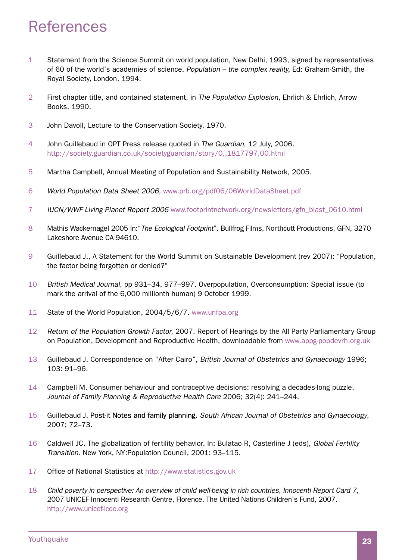# References

- 1 Statement from the Science Summit on world population, New Delhi, 1993, signed by representatives of 60 of the world's academies of science. *Population – the complex reality,* Ed: Graham-Smith, the Royal Society, London, 1994.
- 2 First chapter title, and contained statement, in *The Population Explosion*, Ehrlich & Ehrlich, Arrow Books, 1990.
- 3 John Davoll, Lecture to the Conservation Society, 1970.
- 4 John Guillebaud in OPT Press release quoted in *The Guardian*, 12 July, 2006. http://society.guardian.co.uk/societyguardian/story/0,,1817797,00.html
- 5 Martha Campbell, Annual Meeting of Population and Sustainability Network, 2005.
- 6 *World Population Data Sheet 2006,* www.prb.org/pdf06/06WorldDataSheet.pdf
- 7 *IUCN/WWF Living Planet Report 2006* www.footprintnetwork.org/newsletters/gfn\_blast\_0610.html
- 8 Mathis Wackernagel 2005 In:"*The Ecological Footprint*". Bullfrog Films, Northcutt Productions, GFN, 3270 Lakeshore Avenue CA 94610.
- 9 Guillebaud J., A Statement for the World Summit on Sustainable Development (rev 2007): "Population, the factor being forgotten or denied?"
- 10 *British Medical Journal*, pp 931–34, 977–997. Overpopulation, Overconsumption: Special issue (to mark the arrival of the 6,000 millionth human) 9 October 1999.
- 11 State of the World Population, 2004/5/6/7. www.unfpa.org
- 12 *Return of the Population Growth Factor,* 2007. Report of Hearings by the All Party Parliamentary Group on Population, Development and Reproductive Health, downloadable from www.appg-popdevrh.org.uk
- 13 Guillebaud J. Correspondence on "After Cairo", *British Journal of Obstetrics and Gynaecology* 1996; 103: 91–96.
- 14 Campbell M. Consumer behaviour and contraceptive decisions: resolving a decades-long puzzle. *Journal of Family Planning & Reproductive Health Care* 2006; 32(4): 241–244.
- 15 Guillebaud J. Post-it Notes and family planning. South African Journal of Obstetrics and Gynaecology, 2007; 72–73.
- 16 Caldwell JC. The globalization of fertility behavior. In: Bulatao R, Casterline J (eds), *Global Fertility Transition*. New York, NY:Population Council, 2001: 93–115.
- 17 Office of National Statistics at http://www.statistics.gov.uk
- 18 *Child poverty in perspective: An overview of child well-being in rich countries, Innocenti Report Card 7*, 2007 UNICEF Innocenti Research Centre, Florence. The United Nations Children's Fund, 2007. http://www.unicef-icdc.org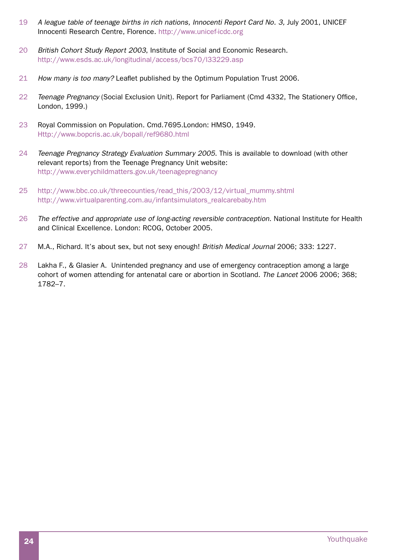- 19 A league table of teenage births in rich nations, Innocenti Report Card No. 3, July 2001, UNICEF Innocenti Research Centre, Florence. http://www.unicef-icdc.org
- 20 *British Cohort Study Report 2003*, Institute of Social and Economic Research. http://www.esds.ac.uk/longitudinal/access/bcs70/l33229.asp
- 21 *How many is too many?* Leaflet published by the Optimum Population Trust 2006.
- 22 *Teenage Pregnancy* (Social Exclusion Unit). Report for Parliament (Cmd 4332, The Stationery Office, London, 1999.)
- 23 Royal Commission on Population. Cmd.7695.London: HMSO, 1949. Http://www.bopcris.ac.uk/bopall/ref9680.html
- 24 *Teenage Pregnancy Strategy Evaluation Summary 2005*. This is available to download (with other relevant reports) from the Teenage Pregnancy Unit website: http://www.everychildmatters.gov.uk/teenagepregnancy
- 25 http://www.bbc.co.uk/threecounties/read\_this/2003/12/virtual\_mummy.shtml http://www.virtualparenting.com.au/infantsimulators\_realcarebaby.htm
- 26 *The effective and appropriate use of long-acting reversible contraception*. National Institute for Health and Clinical Excellence. London: RCOG, October 2005.
- 27 M.A., Richard. It's about sex, but not sexy enough! *British Medical Journal* 2006; 333: 1227.
- 28 Lakha F., & Glasier A. Unintended pregnancy and use of emergency contraception among a large cohort of women attending for antenatal care or abortion in Scotland. *The Lancet* 2006 2006; 368; 1782–7.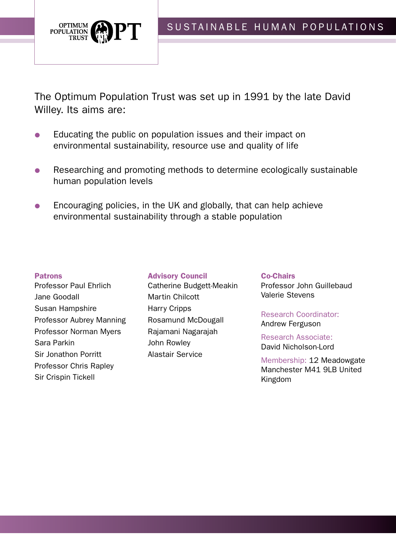

The Optimum Population Trust was set up in 1991 by the late David Willey. Its aims are:

- Educating the public on population issues and their impact on environmental sustainability, resource use and quality of life
- Researching and promoting methods to determine ecologically sustainable human population levels
- Encouraging policies, in the UK and globally, that can help achieve environmental sustainability through a stable population

## Patrons

- Professor Paul Ehrlich Jane Goodall Susan Hampshire Professor Aubrey Manning Professor Norman Myers Sara Parkin Sir Jonathon Porritt Professor Chris Rapley Sir Crispin Tickell
- Advisory Council Catherine Budgett-Meakin Martin Chilcott Harry Cripps Rosamund McDougall Rajamani Nagarajah John Rowley Alastair Service

Co-Chairs Professor John Guillebaud Valerie Stevens

Research Coordinator: Andrew Ferguson

Research Associate: David Nicholson-Lord

Membership: 12 Meadowgate Manchester M41 9LB United Kingdom